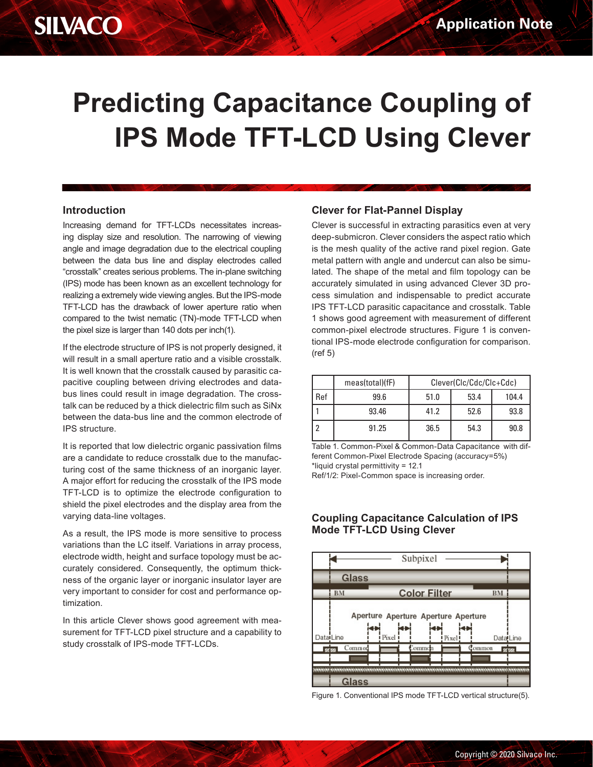# **Predicting Capacitance Coupling of IPS Mode TFT-LCD Using Clever**

### **Introduction**

Increasing demand for TFT-LCDs necessitates increasing display size and resolution. The narrowing of viewing angle and image degradation due to the electrical coupling between the data bus line and display electrodes called "crosstalk" creates serious problems. The in-plane switching (IPS) mode has been known as an excellent technology for realizing a extremely wide viewing angles. But the IPS-mode TFT-LCD has the drawback of lower aperture ratio when compared to the twist nematic (TN)-mode TFT-LCD when the pixel size is larger than 140 dots per inch(1).

If the electrode structure of IPS is not properly designed, it will result in a small aperture ratio and a visible crosstalk. It is well known that the crosstalk caused by parasitic capacitive coupling between driving electrodes and databus lines could result in image degradation. The crosstalk can be reduced by a thick dielectric film such as SiNx between the data-bus line and the common electrode of IPS structure.

It is reported that low dielectric organic passivation films are a candidate to reduce crosstalk due to the manufacturing cost of the same thickness of an inorganic layer. A major effort for reducing the crosstalk of the IPS mode TFT-LCD is to optimize the electrode configuration to shield the pixel electrodes and the display area from the varying data-line voltages.

As a result, the IPS mode is more sensitive to process variations than the LC itself. Variations in array process, electrode width, height and surface topology must be accurately considered. Consequently, the optimum thickness of the organic layer or inorganic insulator layer are very important to consider for cost and performance optimization.

In this article Clever shows good agreement with measurement for TFT-LCD pixel structure and a capability to study crosstalk of IPS-mode TFT-LCDs.

### **Clever for Flat-Pannel Display**

Clever is successful in extracting parasitics even at very deep-submicron. Clever considers the aspect ratio which is the mesh quality of the active rand pixel region. Gate metal pattern with angle and undercut can also be simulated. The shape of the metal and film topology can be accurately simulated in using advanced Clever 3D process simulation and indispensable to predict accurate IPS TFT-LCD parasitic capacitance and crosstalk. Table 1 shows good agreement with measurement of different common-pixel electrode structures. Figure 1 is conventional IPS-mode electrode configuration for comparison. (ref 5)

|     | meas(total)(fF) | Clever(Clc/Cdc/Clc+Cdc) |      |       |
|-----|-----------------|-------------------------|------|-------|
| Ref | 99.6            | 51.0                    | 53.4 | 104.4 |
|     | 93.46           | 41.2                    | 52.6 | 93.8  |
|     | 91.25           | 36.5                    | 54.3 | 90.8  |

Table 1. Common-Pixel & Common-Data Capacitance with different Common-Pixel Electrode Spacing (accuracy=5%) \*liquid crystal permittivity = 12.1 Ref/1/2: Pixel-Common space is increasing order.

**Coupling Capacitance Calculation of IPS Mode TFT-LCD Using Clever**



#### Figure 1. Conventional IPS mode TFT-LCD vertical structure(5).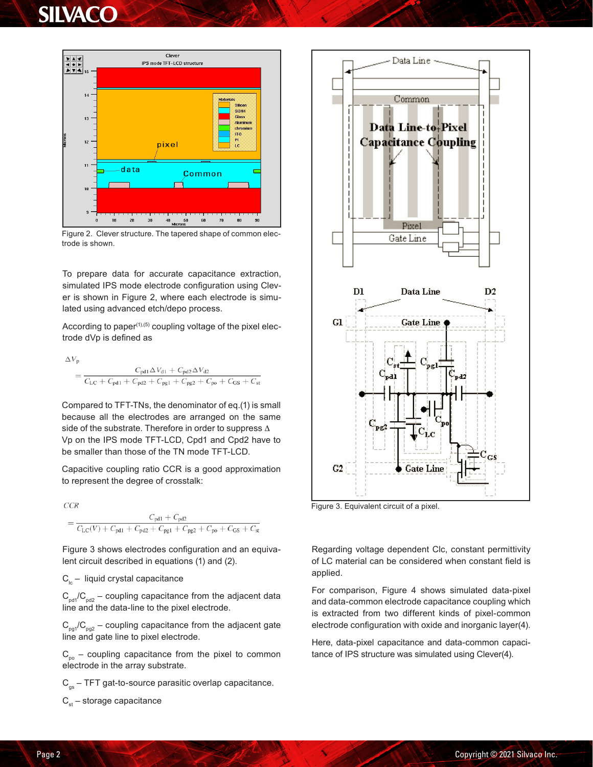### **SILVACO**



Figure 2. Clever structure. The tapered shape of common electrode is shown.

To prepare data for accurate capacitance extraction, simulated IPS mode electrode configuration using Clever is shown in Figure 2, where each electrode is simulated using advanced etch/depo process.

According to paper $(1)$ , $(5)$  coupling voltage of the pixel electrode dVp is defined as

$$
\Delta V_{p}
$$
\n
$$
= \frac{C_{pd1} \Delta V_{d1} + C_{pd2} \Delta V_{d2}}{C_{LC} + C_{pd1} + C_{pd2} + C_{pg1} + C_{pg2} + C_{pg} + C_{GS} + C_{st}}
$$

Compared to TFT-TNs, the denominator of eq.(1) is small because all the electrodes are arranged on the same side of the substrate. Therefore in order to suppress Δ Vp on the IPS mode TFT-LCD, Cpd1 and Cpd2 have to be smaller than those of the TN mode TFT-LCD.

Capacitive coupling ratio CCR is a good approximation to represent the degree of crosstalk:

 $CCR$ 

$$
= \frac{C_{\text{pd1}} + C_{\text{pd2}}}{C_{\text{LC}}(V) + C_{\text{pd1}} + C_{\text{pd2}} + C_{\text{pg1}} + C_{\text{pg2}} + C_{\text{po}} + C_{\text{GS}} + C_{\text{st}}}
$$

Figure 3 shows electrodes configuration and an equivalent circuit described in equations (1) and (2).

 $C_{Ic}$  – liquid crystal capacitance

 $C_{\text{odd}}/C_{\text{odd}}$  – coupling capacitance from the adjacent data line and the data-line to the pixel electrode.

 $C_{pq1}/C_{pq2}$  – coupling capacitance from the adjacent gate line and gate line to pixel electrode.

 $C_{po}$  – coupling capacitance from the pixel to common electrode in the array substrate.

 $C_{gs}$  – TFT gat-to-source parasitic overlap capacitance.

 $C_{st}$  – storage capacitance



Figure 3. Equivalent circuit of a pixel.

Regarding voltage dependent Clc, constant permittivity of LC material can be considered when constant field is applied.

For comparison, Figure 4 shows simulated data-pixel and data-common electrode capacitance coupling which is extracted from two different kinds of pixel-common electrode configuration with oxide and inorganic layer(4).

Here, data-pixel capacitance and data-common capacitance of IPS structure was simulated using Clever(4).